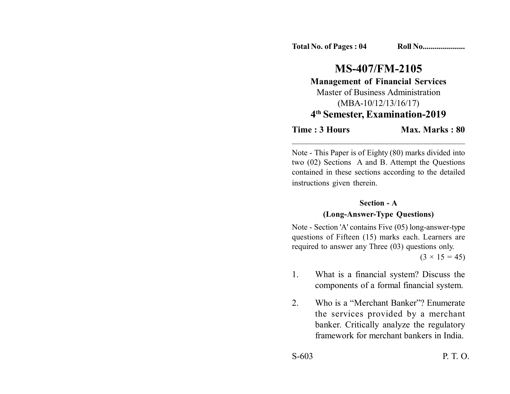**Total No. of Pages : 04 Roll No....................** 

# **MS-407/FM-2105 Management of Financial Services** Master of Business Administration (MBA-10/12/13/16/17)

## **4th Semester, Examination-2019**

**Time : 3 Hours Max. Marks : 80** 

Note - This Paper is of Eighty (80) marks divided into two (02) Sections A and B. Attempt the Questions contained in these sections according to the detailed instructions given therein.

\_\_\_\_\_\_\_\_\_\_\_\_\_\_\_\_\_\_\_\_\_\_\_\_\_\_\_\_\_\_\_\_\_\_\_\_\_\_\_\_\_

#### **Section - A**

### **(Long-Answer-Type Questions)**

Note - Section 'A' contains Five (05) long-answer-type questions of Fifteen (15) marks each. Learners are required to answer any Three (03) questions only.

 $(3 \times 15 = 45)$ 

- 1. What is a financial system? Discuss the components of a formal financial system.
- 2. Who is a "Merchant Banker"? Enumerate the services provided by a merchant banker. Critically analyze the regulatory framework for merchant bankers in India.

S-603 P. T. O.